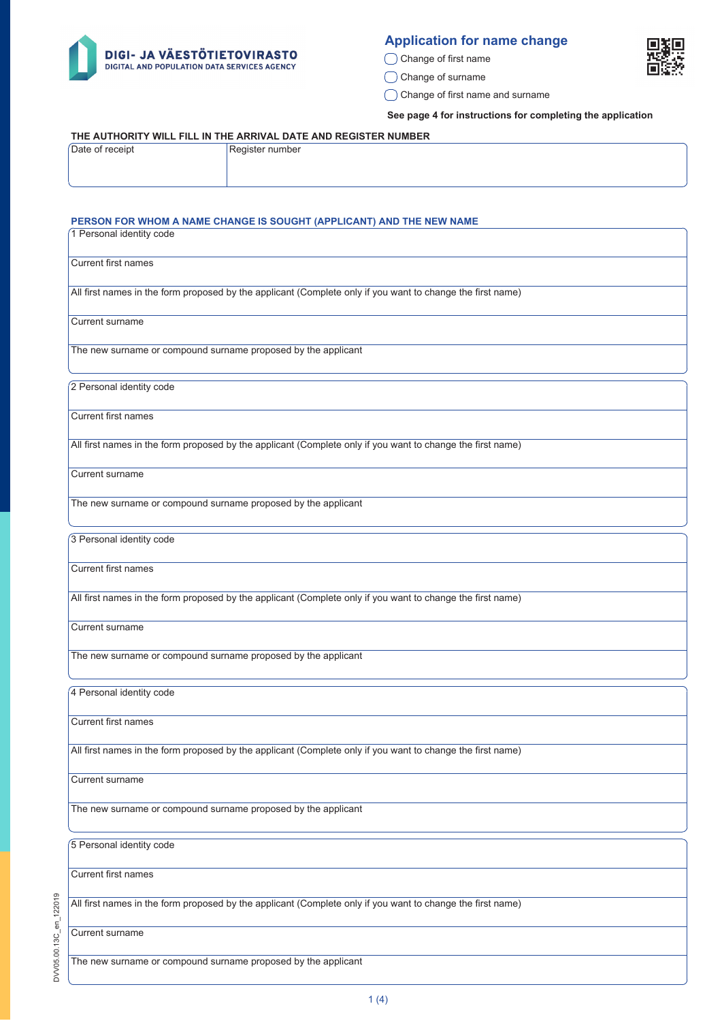

## **Application for name change**

◯ Change of first name

C Change of surname

Change of first name and surname

**See page 4 for instructions for completing the application**

#### **THE AUTHORITY WILL FILL IN THE ARRIVAL DATE AND REGISTER NUMBER**

| Date of receipt | Register number |
|-----------------|-----------------|
|                 |                 |
|                 |                 |

#### **PERSON FOR WHOM A NAME CHANGE IS SOUGHT (APPLICANT) AND THE NEW NAME**

| 1 Personal identity code                                                                                   |
|------------------------------------------------------------------------------------------------------------|
| <b>Current first names</b>                                                                                 |
| All first names in the form proposed by the applicant (Complete only if you want to change the first name) |
| <b>Current surname</b>                                                                                     |
| The new surname or compound surname proposed by the applicant                                              |
| 2 Personal identity code                                                                                   |
| <b>Current first names</b>                                                                                 |
| All first names in the form proposed by the applicant (Complete only if you want to change the first name) |
| Current surname                                                                                            |
| The new surname or compound surname proposed by the applicant                                              |
| 3 Personal identity code                                                                                   |
| <b>Current first names</b>                                                                                 |
| All first names in the form proposed by the applicant (Complete only if you want to change the first name) |
| Current surname                                                                                            |
| The new surname or compound surname proposed by the applicant                                              |
| 4 Personal identity code                                                                                   |
| Current first names                                                                                        |
| All first names in the form proposed by the applicant (Complete only if you want to change the first name) |
| Current surname                                                                                            |
| The new surname or compound surname proposed by the applicant                                              |
| 5 Personal identity code                                                                                   |
| Current first names                                                                                        |
| All first names in the form proposed by the applicant (Complete only if you want to change the first name) |
| Current surname                                                                                            |
| The new surname or compound surname proposed by the applicant                                              |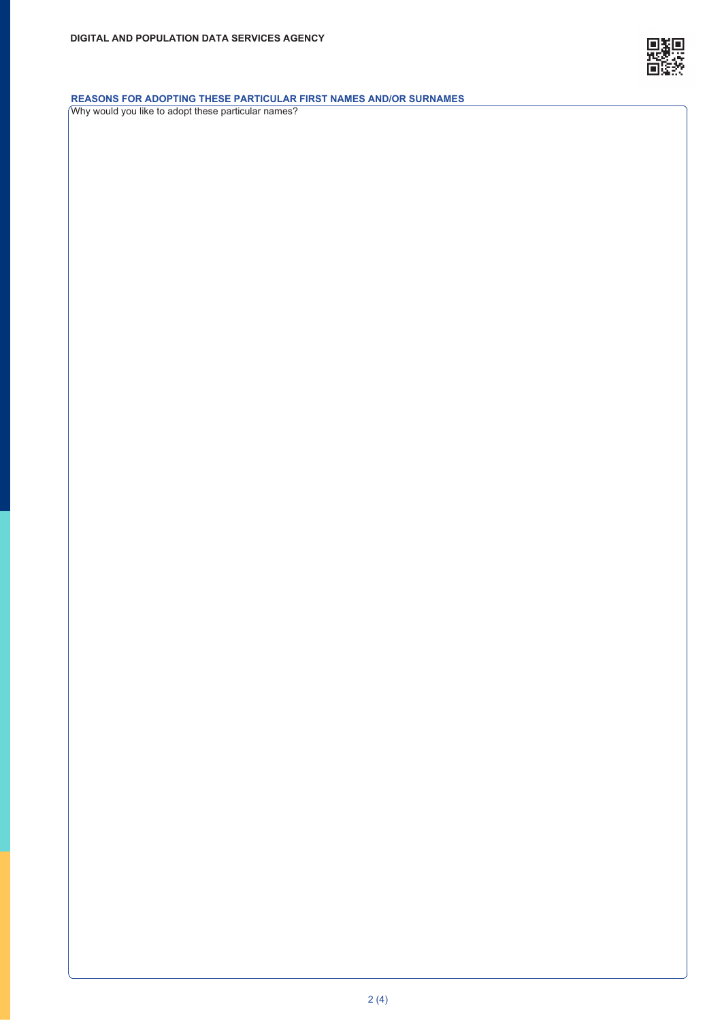

### **REASONS FOR ADOPTING THESE PARTICULAR FIRST NAMES AND/OR SURNAMES**

Why would you like to adopt these particular names?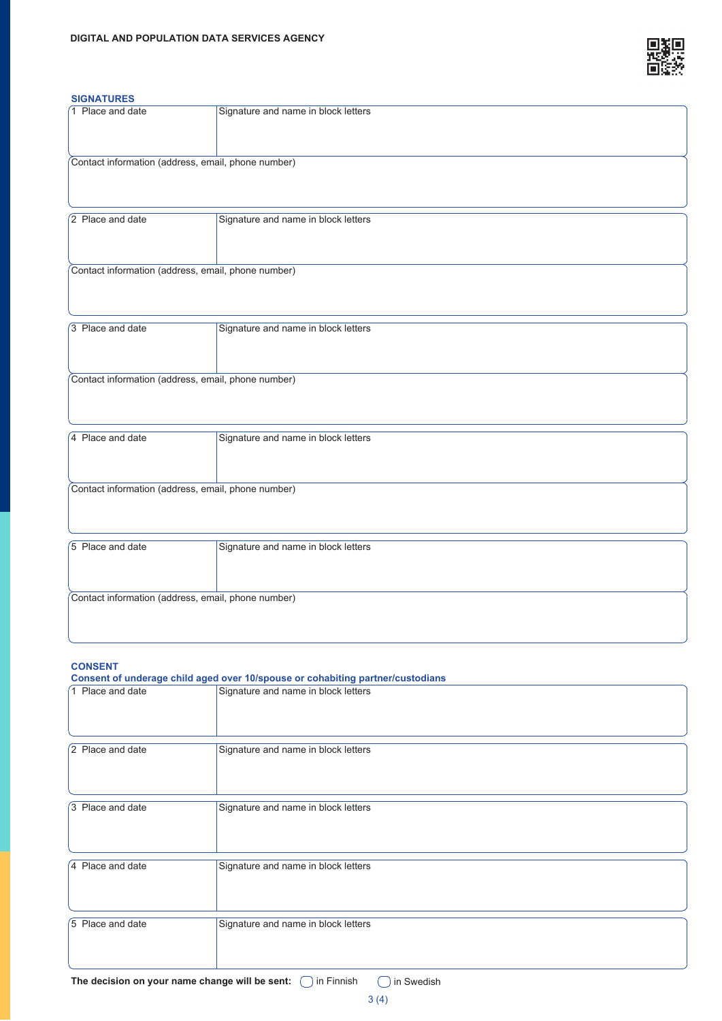

# 1 Place and date Signature and name in block letters **SIGNATURES**

| Contact information (address, email, phone number) |                                     |  |
|----------------------------------------------------|-------------------------------------|--|
| 2 Place and date                                   | Signature and name in block letters |  |
| Contact information (address, email, phone number) |                                     |  |
| 3 Place and date                                   | Signature and name in block letters |  |
| Contact information (address, email, phone number) |                                     |  |
| 4 Place and date                                   | Signature and name in block letters |  |
| Contact information (address, email, phone number) |                                     |  |
| 5 Place and date                                   | Signature and name in block letters |  |
| Contact information (address, email, phone number) |                                     |  |

## **CONSENT**

| Consent of underage child aged over 10/spouse or cohabiting partner/custodians |                                     |  |
|--------------------------------------------------------------------------------|-------------------------------------|--|
| 1 Place and date                                                               | Signature and name in block letters |  |
| 2 Place and date                                                               | Signature and name in block letters |  |
| 3 Place and date                                                               | Signature and name in block letters |  |
| 4 Place and date                                                               | Signature and name in block letters |  |
| 5 Place and date                                                               | Signature and name in block letters |  |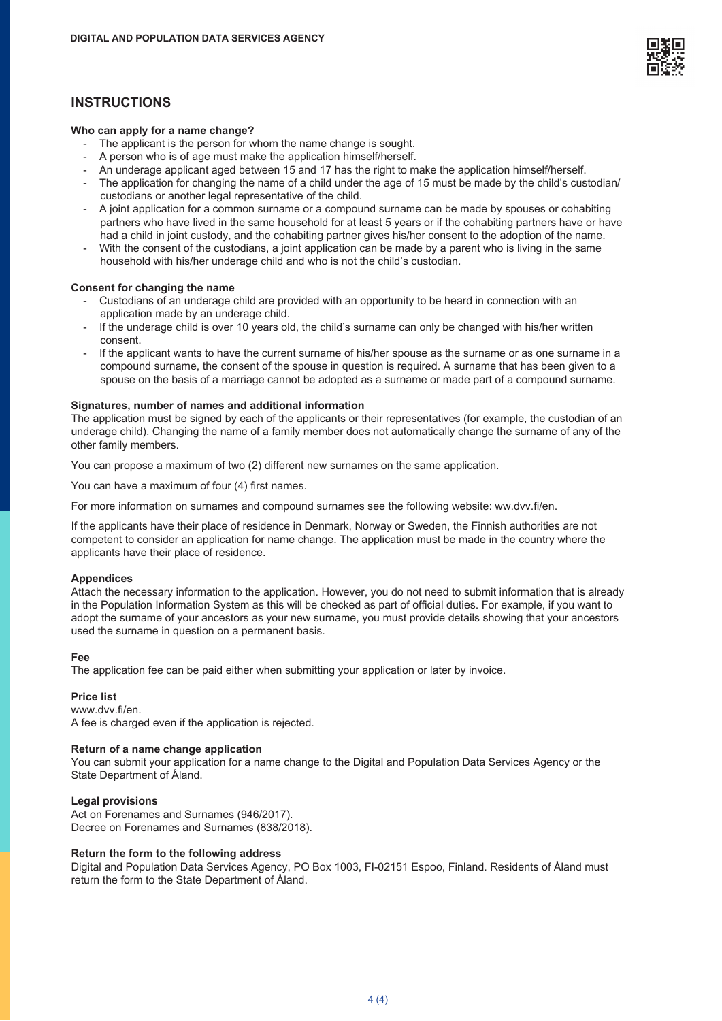

## **INSTRUCTIONS**

#### **Who can apply for a name change?**

- The applicant is the person for whom the name change is sought.
- A person who is of age must make the application himself/herself.
- An underage applicant aged between 15 and 17 has the right to make the application himself/herself.
- The application for changing the name of a child under the age of 15 must be made by the child's custodian/ custodians or another legal representative of the child.
- A joint application for a common surname or a compound surname can be made by spouses or cohabiting partners who have lived in the same household for at least 5 years or if the cohabiting partners have or have had a child in joint custody, and the cohabiting partner gives his/her consent to the adoption of the name.
- With the consent of the custodians, a joint application can be made by a parent who is living in the same household with his/her underage child and who is not the child's custodian.

#### **Consent for changing the name**

- Custodians of an underage child are provided with an opportunity to be heard in connection with an application made by an underage child.
- If the underage child is over 10 years old, the child's surname can only be changed with his/her written consent.
- If the applicant wants to have the current surname of his/her spouse as the surname or as one surname in a compound surname, the consent of the spouse in question is required. A surname that has been given to a spouse on the basis of a marriage cannot be adopted as a surname or made part of a compound surname.

#### **Signatures, number of names and additional information**

The application must be signed by each of the applicants or their representatives (for example, the custodian of an underage child). Changing the name of a family member does not automatically change the surname of any of the other family members.

You can propose a maximum of two (2) different new surnames on the same application.

You can have a maximum of four (4) first names.

For more information on surnames and compound surnames see the following website: ww.dvv.fi/en.

If the applicants have their place of residence in Denmark, Norway or Sweden, the Finnish authorities are not competent to consider an application for name change. The application must be made in the country where the applicants have their place of residence.

#### **Appendices**

Attach the necessary information to the application. However, you do not need to submit information that is already in the Population Information System as this will be checked as part of official duties. For example, if you want to adopt the surname of your ancestors as your new surname, you must provide details showing that your ancestors used the surname in question on a permanent basis.

#### **Fee**

The application fee can be paid either when submitting your application or later by invoice.

#### **Price list**

www.dvv.fi/en. A fee is charged even if the application is rejected.

#### **Return of a name change application**

You can submit your application for a name change to the Digital and Population Data Services Agency or the State Department of Åland.

#### **Legal provisions**

Act on Forenames and Surnames (946/2017). Decree on Forenames and Surnames (838/2018).

#### **Return the form to the following address**

Digital and Population Data Services Agency, PO Box 1003, FI-02151 Espoo, Finland. Residents of Åland must return the form to the State Department of Åland.